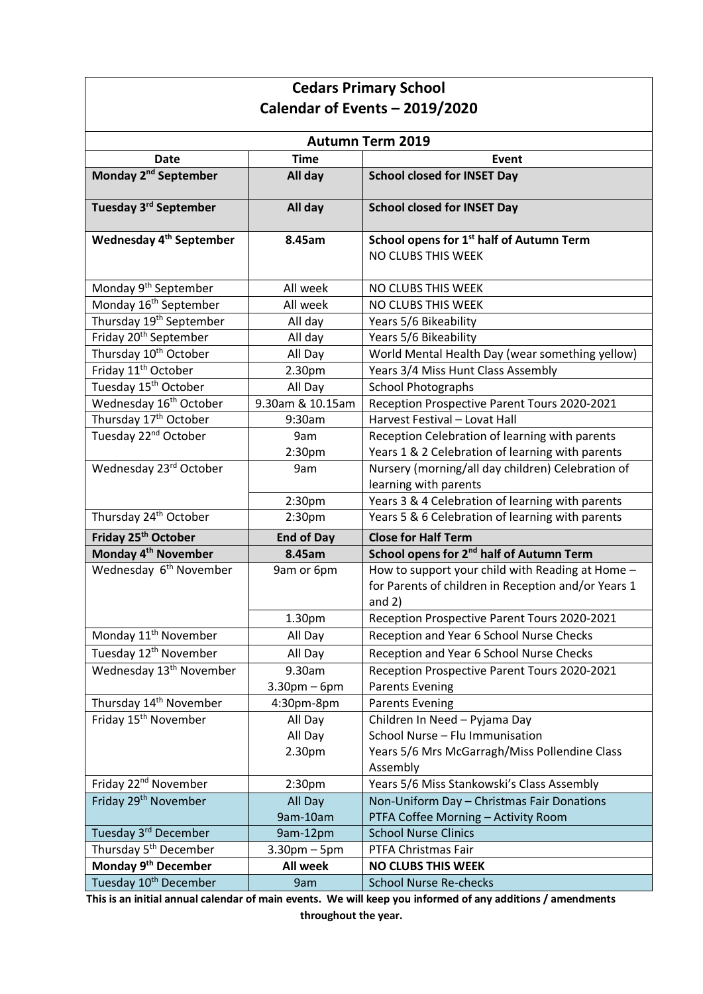| <b>Cedars Primary School</b>        |                           |                                                                                                                     |  |  |
|-------------------------------------|---------------------------|---------------------------------------------------------------------------------------------------------------------|--|--|
| Calendar of Events - 2019/2020      |                           |                                                                                                                     |  |  |
| <b>Autumn Term 2019</b>             |                           |                                                                                                                     |  |  |
| <b>Date</b>                         | <b>Time</b>               | <b>Event</b>                                                                                                        |  |  |
| Monday 2 <sup>nd</sup> September    | All day                   | <b>School closed for INSET Day</b>                                                                                  |  |  |
| Tuesday 3 <sup>rd</sup> September   | All day                   | <b>School closed for INSET Day</b>                                                                                  |  |  |
| Wednesday 4 <sup>th</sup> September | 8.45am                    | School opens for 1 <sup>st</sup> half of Autumn Term<br>NO CLUBS THIS WEEK                                          |  |  |
| Monday 9 <sup>th</sup> September    | All week                  | NO CLUBS THIS WEEK                                                                                                  |  |  |
| Monday 16 <sup>th</sup> September   | All week                  | NO CLUBS THIS WEEK                                                                                                  |  |  |
| Thursday 19 <sup>th</sup> September | All day                   | Years 5/6 Bikeability                                                                                               |  |  |
| Friday 20 <sup>th</sup> September   | All day                   | Years 5/6 Bikeability                                                                                               |  |  |
| Thursday 10 <sup>th</sup> October   | All Day                   | World Mental Health Day (wear something yellow)                                                                     |  |  |
| Friday 11 <sup>th</sup> October     | 2.30pm                    | Years 3/4 Miss Hunt Class Assembly                                                                                  |  |  |
| Tuesday 15 <sup>th</sup> October    | All Day                   | <b>School Photographs</b>                                                                                           |  |  |
| Wednesday 16 <sup>th</sup> October  | 9.30am & 10.15am          | Reception Prospective Parent Tours 2020-2021                                                                        |  |  |
| Thursday 17 <sup>th</sup> October   | 9:30am                    | Harvest Festival - Lovat Hall                                                                                       |  |  |
| Tuesday 22 <sup>nd</sup> October    | 9am                       | Reception Celebration of learning with parents                                                                      |  |  |
|                                     | 2:30pm                    | Years 1 & 2 Celebration of learning with parents                                                                    |  |  |
| Wednesday 23rd October              | 9am                       | Nursery (morning/all day children) Celebration of                                                                   |  |  |
|                                     |                           | learning with parents                                                                                               |  |  |
|                                     | 2:30 <sub>pm</sub>        | Years 3 & 4 Celebration of learning with parents                                                                    |  |  |
| Thursday 24 <sup>th</sup> October   | 2:30 <sub>pm</sub>        | Years 5 & 6 Celebration of learning with parents                                                                    |  |  |
| Friday 25 <sup>th</sup> October     | <b>End of Day</b>         | <b>Close for Half Term</b>                                                                                          |  |  |
| Monday 4 <sup>th</sup> November     | 8.45am                    | School opens for 2 <sup>nd</sup> half of Autumn Term                                                                |  |  |
| Wednesday 6 <sup>th</sup> November  | 9am or 6pm                | How to support your child with Reading at Home -<br>for Parents of children in Reception and/or Years 1<br>and $2)$ |  |  |
|                                     | 1.30pm                    | Reception Prospective Parent Tours 2020-2021                                                                        |  |  |
| Monday 11 <sup>th</sup> November    | All Day                   | Reception and Year 6 School Nurse Checks                                                                            |  |  |
| Tuesday 12 <sup>th</sup> November   | All Day                   | Reception and Year 6 School Nurse Checks                                                                            |  |  |
| Wednesday 13 <sup>th</sup> November | 9.30am<br>$3.30$ pm – 6pm | Reception Prospective Parent Tours 2020-2021<br><b>Parents Evening</b>                                              |  |  |
| Thursday 14 <sup>th</sup> November  | 4:30pm-8pm                | <b>Parents Evening</b>                                                                                              |  |  |
| Friday 15 <sup>th</sup> November    | All Day                   | Children In Need - Pyjama Day                                                                                       |  |  |
|                                     | All Day                   | School Nurse - Flu Immunisation                                                                                     |  |  |
|                                     | 2.30pm                    | Years 5/6 Mrs McGarragh/Miss Pollendine Class                                                                       |  |  |
|                                     |                           | Assembly                                                                                                            |  |  |
| Friday 22 <sup>nd</sup> November    | 2:30pm                    | Years 5/6 Miss Stankowski's Class Assembly                                                                          |  |  |
| Friday 29 <sup>th</sup> November    | All Day                   | Non-Uniform Day - Christmas Fair Donations                                                                          |  |  |
|                                     | 9am-10am                  | PTFA Coffee Morning - Activity Room                                                                                 |  |  |
| Tuesday 3rd December                | 9am-12pm                  | <b>School Nurse Clinics</b>                                                                                         |  |  |
| Thursday 5 <sup>th</sup> December   | $3.30$ pm $-5$ pm         | PTFA Christmas Fair                                                                                                 |  |  |
| Monday 9 <sup>th</sup> December     | <b>All week</b>           | <b>NO CLUBS THIS WEEK</b>                                                                                           |  |  |
| Tuesday 10 <sup>th</sup> December   | 9am                       | <b>School Nurse Re-checks</b>                                                                                       |  |  |

**This is an initial annual calendar of main events. We will keep you informed of any additions / amendments throughout the year.**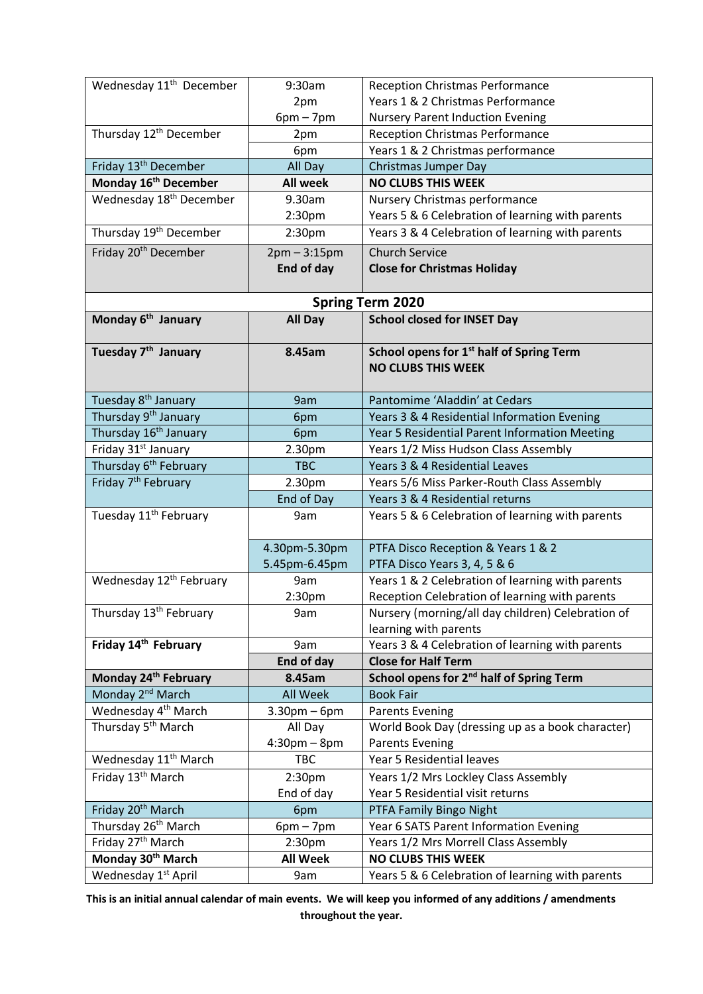| Wednesday 11 <sup>th</sup> December                             | 9:30am                        | <b>Reception Christmas Performance</b>                                            |
|-----------------------------------------------------------------|-------------------------------|-----------------------------------------------------------------------------------|
|                                                                 | 2pm                           | Years 1 & 2 Christmas Performance                                                 |
|                                                                 | $6pm - 7pm$                   | <b>Nursery Parent Induction Evening</b>                                           |
| Thursday 12 <sup>th</sup> December                              | 2pm                           | <b>Reception Christmas Performance</b>                                            |
|                                                                 | 6pm                           | Years 1 & 2 Christmas performance                                                 |
| Friday 13 <sup>th</sup> December                                | All Day                       | <b>Christmas Jumper Day</b>                                                       |
| Monday 16 <sup>th</sup> December                                | <b>All week</b>               | <b>NO CLUBS THIS WEEK</b>                                                         |
| Wednesday 18 <sup>th</sup> December                             | 9.30am                        | Nursery Christmas performance                                                     |
|                                                                 | 2:30pm                        | Years 5 & 6 Celebration of learning with parents                                  |
| Thursday 19 <sup>th</sup> December                              | 2:30 <sub>pm</sub>            | Years 3 & 4 Celebration of learning with parents                                  |
| Friday 20 <sup>th</sup> December                                | $2pm - 3:15pm$                | <b>Church Service</b>                                                             |
|                                                                 | End of day                    | <b>Close for Christmas Holiday</b>                                                |
|                                                                 |                               |                                                                                   |
|                                                                 |                               | <b>Spring Term 2020</b>                                                           |
| Monday 6 <sup>th</sup> January                                  | <b>All Day</b>                | <b>School closed for INSET Day</b>                                                |
|                                                                 |                               |                                                                                   |
| Tuesday 7 <sup>th</sup> January                                 | 8.45am                        | School opens for 1 <sup>st</sup> half of Spring Term<br><b>NO CLUBS THIS WEEK</b> |
|                                                                 |                               |                                                                                   |
| Tuesday 8 <sup>th</sup> January                                 | 9am                           | Pantomime 'Aladdin' at Cedars                                                     |
| Thursday 9 <sup>th</sup> January                                | 6pm                           | Years 3 & 4 Residential Information Evening                                       |
| Thursday 16 <sup>th</sup> January                               | 6pm                           | Year 5 Residential Parent Information Meeting                                     |
| Friday 31 <sup>st</sup> January                                 | 2.30pm                        | Years 1/2 Miss Hudson Class Assembly                                              |
| Thursday 6 <sup>th</sup> February                               | <b>TBC</b>                    | Years 3 & 4 Residential Leaves                                                    |
| Friday 7 <sup>th</sup> February                                 | 2.30pm                        | Years 5/6 Miss Parker-Routh Class Assembly                                        |
|                                                                 | End of Day                    | Years 3 & 4 Residential returns                                                   |
| Tuesday 11 <sup>th</sup> February                               | 9am                           | Years 5 & 6 Celebration of learning with parents                                  |
|                                                                 |                               |                                                                                   |
|                                                                 | 4.30pm-5.30pm                 | PTFA Disco Reception & Years 1 & 2                                                |
|                                                                 | 5.45pm-6.45pm                 | PTFA Disco Years 3, 4, 5 & 6                                                      |
| Wednesday 12 <sup>th</sup> February                             | 9am                           | Years 1 & 2 Celebration of learning with parents                                  |
|                                                                 | 2:30pm                        | Reception Celebration of learning with parents                                    |
| Thursday 13 <sup>th</sup> February                              | 9am                           | Nursery (morning/all day children) Celebration of                                 |
|                                                                 |                               | learning with parents                                                             |
| Friday 14th February                                            | 9am                           | Years 3 & 4 Celebration of learning with parents                                  |
|                                                                 | End of day                    | <b>Close for Half Term</b>                                                        |
| Monday 24 <sup>th</sup> February                                | 8.45am                        | School opens for 2 <sup>nd</sup> half of Spring Term                              |
| Monday 2 <sup>nd</sup> March<br>Wednesday 4 <sup>th</sup> March | <b>All Week</b>               | <b>Book Fair</b>                                                                  |
| Thursday 5 <sup>th</sup> March                                  | $3.30$ pm $-6$ pm             | <b>Parents Evening</b>                                                            |
|                                                                 | All Day<br>$4:30$ pm – $8$ pm | World Book Day (dressing up as a book character)<br><b>Parents Evening</b>        |
| Wednesday 11 <sup>th</sup> March                                | TBC                           | Year 5 Residential leaves                                                         |
| Friday 13 <sup>th</sup> March                                   | 2:30 <sub>pm</sub>            | Years 1/2 Mrs Lockley Class Assembly                                              |
|                                                                 | End of day                    | Year 5 Residential visit returns                                                  |
| Friday 20 <sup>th</sup> March                                   | 6pm                           | PTFA Family Bingo Night                                                           |
| Thursday 26 <sup>th</sup> March                                 | $6pm - 7pm$                   | Year 6 SATS Parent Information Evening                                            |
| Friday 27 <sup>th</sup> March                                   | 2:30pm                        | Years 1/2 Mrs Morrell Class Assembly                                              |
| Monday 30 <sup>th</sup> March                                   | <b>All Week</b>               | <b>NO CLUBS THIS WEEK</b>                                                         |
| Wednesday 1 <sup>st</sup> April                                 | 9am                           | Years 5 & 6 Celebration of learning with parents                                  |

**This is an initial annual calendar of main events. We will keep you informed of any additions / amendments throughout the year.**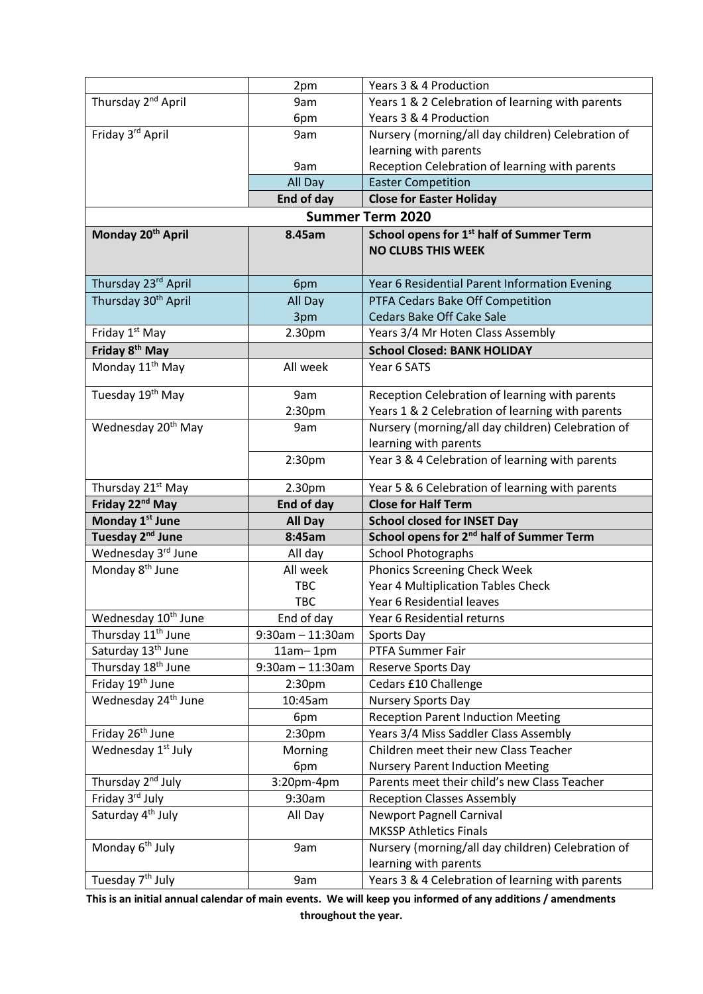|                                 | 2pm                 | Years 3 & 4 Production                                                    |
|---------------------------------|---------------------|---------------------------------------------------------------------------|
| Thursday 2 <sup>nd</sup> April  | 9am                 | Years 1 & 2 Celebration of learning with parents                          |
|                                 | 6pm                 | Years 3 & 4 Production                                                    |
| Friday 3rd April                | 9am                 | Nursery (morning/all day children) Celebration of                         |
|                                 |                     | learning with parents                                                     |
|                                 | 9am                 | Reception Celebration of learning with parents                            |
|                                 | All Day             | <b>Easter Competition</b>                                                 |
|                                 | End of day          | <b>Close for Easter Holiday</b>                                           |
|                                 |                     | <b>Summer Term 2020</b>                                                   |
| Monday 20 <sup>th</sup> April   | 8.45am              | School opens for 1 <sup>st</sup> half of Summer Term                      |
|                                 |                     | <b>NO CLUBS THIS WEEK</b>                                                 |
|                                 |                     |                                                                           |
| Thursday 23rd April             | 6pm                 | Year 6 Residential Parent Information Evening                             |
| Thursday 30 <sup>th</sup> April | All Day             | PTFA Cedars Bake Off Competition                                          |
|                                 | 3pm                 | <b>Cedars Bake Off Cake Sale</b>                                          |
| Friday 1st May                  | 2.30pm              | Years 3/4 Mr Hoten Class Assembly                                         |
| Friday 8 <sup>th</sup> May      |                     | <b>School Closed: BANK HOLIDAY</b>                                        |
| Monday 11 <sup>th</sup> May     | All week            | Year 6 SATS                                                               |
| Tuesday 19 <sup>th</sup> May    | 9am                 | Reception Celebration of learning with parents                            |
|                                 |                     | Years 1 & 2 Celebration of learning with parents                          |
| Wednesday 20 <sup>th</sup> May  | 2:30pm<br>9am       | Nursery (morning/all day children) Celebration of                         |
|                                 |                     | learning with parents                                                     |
|                                 | 2:30 <sub>pm</sub>  | Year 3 & 4 Celebration of learning with parents                           |
|                                 |                     |                                                                           |
| Thursday 21 <sup>st</sup> May   | 2.30pm              | Year 5 & 6 Celebration of learning with parents                           |
|                                 |                     |                                                                           |
| Friday 22 <sup>nd</sup> May     | End of day          | <b>Close for Half Term</b>                                                |
| Monday 1 <sup>st</sup> June     | <b>All Day</b>      | <b>School closed for INSET Day</b>                                        |
| Tuesday 2 <sup>nd</sup> June    | 8:45am              | School opens for 2 <sup>nd</sup> half of Summer Term                      |
| Wednesday 3rd June              | All day             | <b>School Photographs</b>                                                 |
| Monday 8 <sup>th</sup> June     | All week            | <b>Phonics Screening Check Week</b>                                       |
|                                 | <b>TBC</b>          | Year 4 Multiplication Tables Check                                        |
|                                 | <b>TBC</b>          | Year 6 Residential leaves                                                 |
| Wednesday 10 <sup>th</sup> June | End of day          | Year 6 Residential returns                                                |
| Thursday 11 <sup>th</sup> June  | $9:30$ am - 11:30am | Sports Day                                                                |
| Saturday 13 <sup>th</sup> June  | $11am - 1pm$        | PTFA Summer Fair                                                          |
| Thursday 18 <sup>th</sup> June  | $9:30$ am - 11:30am | Reserve Sports Day                                                        |
| Friday 19 <sup>th</sup> June    | 2:30pm              | Cedars £10 Challenge                                                      |
| Wednesday 24 <sup>th</sup> June | 10:45am             | <b>Nursery Sports Day</b>                                                 |
|                                 | 6pm                 | <b>Reception Parent Induction Meeting</b>                                 |
| Friday 26 <sup>th</sup> June    | 2:30 <sub>pm</sub>  | Years 3/4 Miss Saddler Class Assembly                                     |
| Wednesday 1 <sup>st</sup> July  | Morning             | Children meet their new Class Teacher                                     |
|                                 | 6pm                 | <b>Nursery Parent Induction Meeting</b>                                   |
| Thursday 2 <sup>nd</sup> July   | 3:20pm-4pm          | Parents meet their child's new Class Teacher                              |
| Friday 3rd July                 | 9:30am              | <b>Reception Classes Assembly</b>                                         |
| Saturday 4 <sup>th</sup> July   | All Day             | <b>Newport Pagnell Carnival</b>                                           |
|                                 |                     | <b>MKSSP Athletics Finals</b>                                             |
| Monday 6 <sup>th</sup> July     | 9am                 | Nursery (morning/all day children) Celebration of                         |
| Tuesday 7 <sup>th</sup> July    | 9am                 | learning with parents<br>Years 3 & 4 Celebration of learning with parents |

**This is an initial annual calendar of main events. We will keep you informed of any additions / amendments throughout the year.**